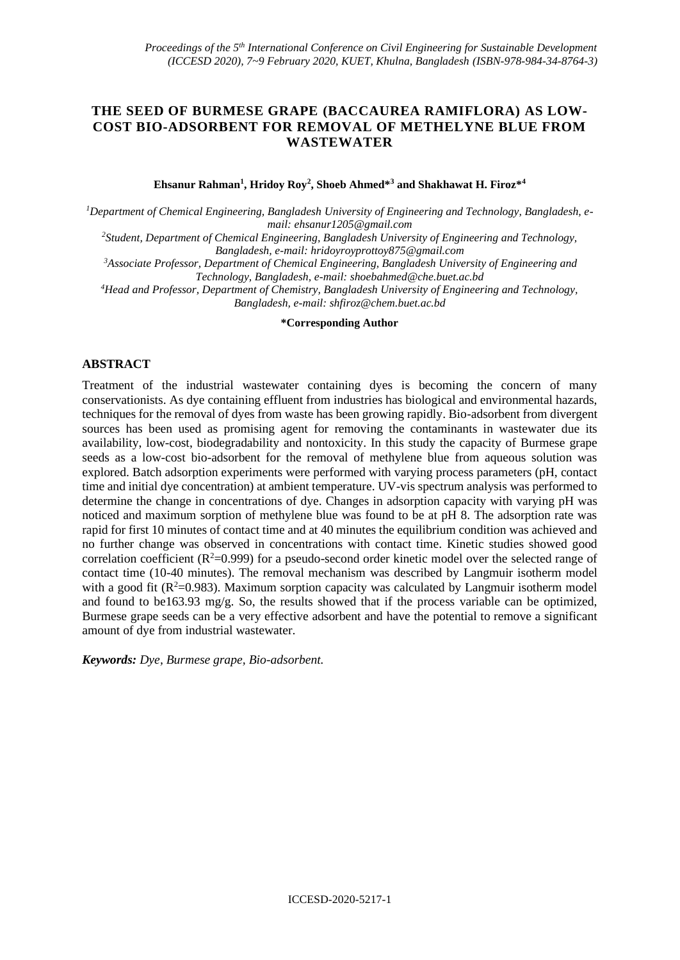# **THE SEED OF BURMESE GRAPE (BACCAUREA RAMIFLORA) AS LOW-COST BIO-ADSORBENT FOR REMOVAL OF METHELYNE BLUE FROM WASTEWATER**

**Ehsanur Rahman<sup>1</sup> , Hridoy Roy<sup>2</sup> , Shoeb Ahmed\*<sup>3</sup> and Shakhawat H. Firoz\*<sup>4</sup>**

*1Department of Chemical Engineering, Bangladesh University of Engineering and Technology, Bangladesh, email: ehsanur1205@gmail.com*

*<sup>2</sup>Student, Department of Chemical Engineering, Bangladesh University of Engineering and Technology, Bangladesh, e-mail: hridoyroyprottoy875@gmail.com*

*<sup>3</sup>Associate Professor, Department of Chemical Engineering, Bangladesh University of Engineering and Technology, Bangladesh, e-mail: shoebahmed@che.buet.ac.bd*

*<sup>4</sup>Head and Professor, Department of Chemistry, Bangladesh University of Engineering and Technology, Bangladesh, e-mail[: shfiroz@chem.buet.ac.bd](mailto:shfiroz@chem.buet.ac.bd)*

**\*Corresponding Author**

## **ABSTRACT**

Treatment of the industrial wastewater containing dyes is becoming the concern of many conservationists. As dye containing effluent from industries has biological and environmental hazards, techniques for the removal of dyes from waste has been growing rapidly. Bio-adsorbent from divergent sources has been used as promising agent for removing the contaminants in wastewater due its availability, low-cost, biodegradability and nontoxicity. In this study the capacity of Burmese grape seeds as a low-cost bio-adsorbent for the removal of methylene blue from aqueous solution was explored. Batch adsorption experiments were performed with varying process parameters (pH, contact time and initial dye concentration) at ambient temperature. UV-vis spectrum analysis was performed to determine the change in concentrations of dye. Changes in adsorption capacity with varying pH was noticed and maximum sorption of methylene blue was found to be at pH 8. The adsorption rate was rapid for first 10 minutes of contact time and at 40 minutes the equilibrium condition was achieved and no further change was observed in concentrations with contact time. Kinetic studies showed good correlation coefficient ( $\mathbb{R}^2$ =0.999) for a pseudo-second order kinetic model over the selected range of contact time (10-40 minutes). The removal mechanism was described by Langmuir isotherm model with a good fit  $(R^2=0.983)$ . Maximum sorption capacity was calculated by Langmuir isotherm model and found to be163.93 mg/g. So, the results showed that if the process variable can be optimized, Burmese grape seeds can be a very effective adsorbent and have the potential to remove a significant amount of dye from industrial wastewater.

*Keywords: Dye, Burmese grape, Bio-adsorbent.*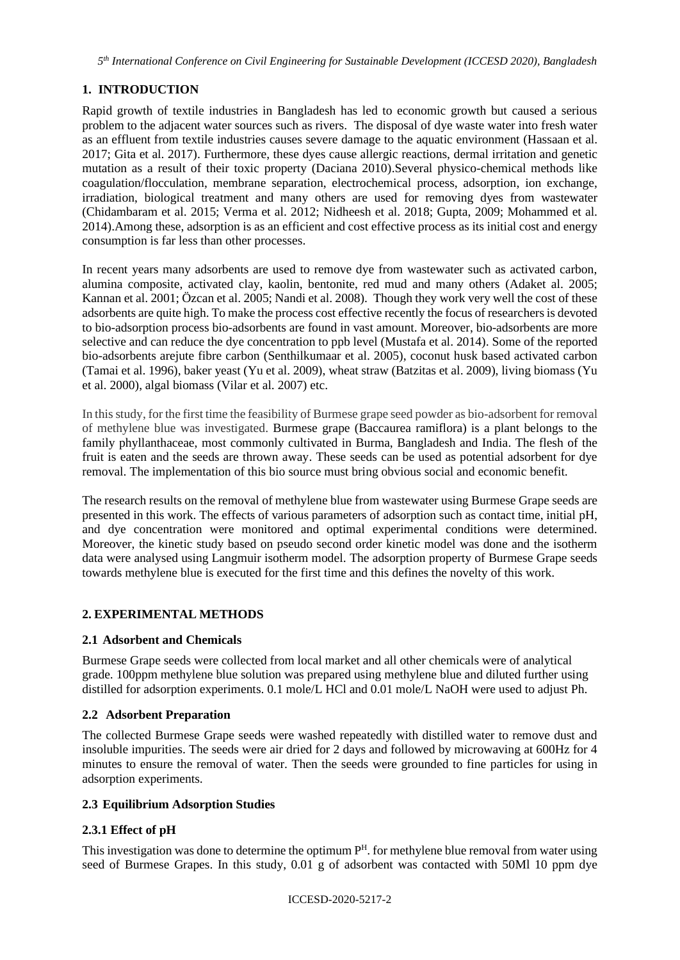*5 th International Conference on Civil Engineering for Sustainable Development (ICCESD 2020), Bangladesh*

# **1. INTRODUCTION**

Rapid growth of textile industries in Bangladesh has led to economic growth but caused a serious problem to the adjacent water sources such as rivers. The disposal of dye waste water into fresh water as an effluent from textile industries causes severe damage to the aquatic environment (Hassaan et al. 2017; Gita et al. 2017). Furthermore, these dyes cause allergic reactions, dermal irritation and genetic mutation as a result of their toxic property (Daciana 2010).Several physico-chemical methods like coagulation/flocculation, membrane separation, electrochemical process, adsorption, ion exchange, irradiation, biological treatment and many others are used for removing dyes from wastewater (Chidambaram et al. 2015; Verma et al. 2012; Nidheesh et al. 2018; Gupta, 2009; Mohammed et al. 2014).Among these, adsorption is as an efficient and cost effective process as its initial cost and energy consumption is far less than other processes.

In recent years many adsorbents are used to remove dye from wastewater such as activated carbon, alumina composite, activated clay, kaolin, bentonite, red mud and many others (Adaket al. 2005; Kannan et al. 2001; Özcan et al. 2005; Nandi et al. 2008). Though they work very well the cost of these adsorbents are quite high. To make the process cost effective recently the focus of researchers is devoted to bio-adsorption process bio-adsorbents are found in vast amount. Moreover, bio-adsorbents are more selective and can reduce the dye concentration to ppb level (Mustafa et al. 2014). Some of the reported bio-adsorbents arejute fibre carbon (Senthilkumaar et al. 2005), coconut husk based activated carbon (Tamai et al. 1996), baker yeast (Yu et al. 2009), wheat straw (Batzitas et al. 2009), living biomass (Yu et al. 2000), algal biomass (Vilar et al. 2007) etc.

In this study, for the first time the feasibility of Burmese grape seed powder as bio-adsorbent for removal of methylene blue was investigated. Burmese grape (Baccaurea ramiflora) is a plant belongs to the family phyllanthaceae, most commonly cultivated in Burma, Bangladesh and India. The flesh of the fruit is eaten and the seeds are thrown away. These seeds can be used as potential adsorbent for dye removal. The implementation of this bio source must bring obvious social and economic benefit.

The research results on the removal of methylene blue from wastewater using Burmese Grape seeds are presented in this work. The effects of various parameters of adsorption such as contact time, initial pH, and dye concentration were monitored and optimal experimental conditions were determined. Moreover, the kinetic study based on pseudo second order kinetic model was done and the isotherm data were analysed using Langmuir isotherm model. The adsorption property of Burmese Grape seeds towards methylene blue is executed for the first time and this defines the novelty of this work.

# **2. EXPERIMENTAL METHODS**

## **2.1 Adsorbent and Chemicals**

Burmese Grape seeds were collected from local market and all other chemicals were of analytical grade. 100ppm methylene blue solution was prepared using methylene blue and diluted further using distilled for adsorption experiments. 0.1 mole/L HCl and 0.01 mole/L NaOH were used to adjust Ph.

## **2.2 Adsorbent Preparation**

The collected Burmese Grape seeds were washed repeatedly with distilled water to remove dust and insoluble impurities. The seeds were air dried for 2 days and followed by microwaving at 600Hz for 4 minutes to ensure the removal of water. Then the seeds were grounded to fine particles for using in adsorption experiments.

## **2.3 Equilibrium Adsorption Studies**

## **2.3.1 Effect of pH**

This investigation was done to determine the optimum  $P<sup>H</sup>$ . for methylene blue removal from water using seed of Burmese Grapes. In this study, 0.01 g of adsorbent was contacted with 50Ml 10 ppm dye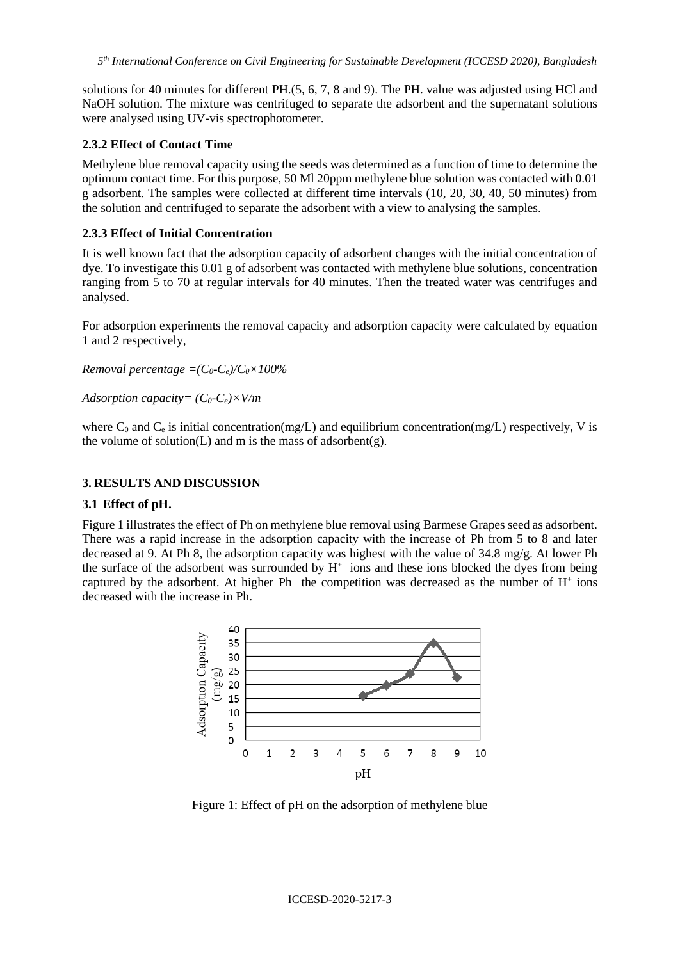solutions for 40 minutes for different PH.(5, 6, 7, 8 and 9). The PH. value was adjusted using HCl and NaOH solution. The mixture was centrifuged to separate the adsorbent and the supernatant solutions were analysed using UV-vis spectrophotometer.

#### **2.3.2 Effect of Contact Time**

Methylene blue removal capacity using the seeds was determined as a function of time to determine the optimum contact time. For this purpose, 50 Ml 20ppm methylene blue solution was contacted with 0.01 g adsorbent. The samples were collected at different time intervals (10, 20, 30, 40, 50 minutes) from the solution and centrifuged to separate the adsorbent with a view to analysing the samples.

#### **2.3.3 Effect of Initial Concentration**

It is well known fact that the adsorption capacity of adsorbent changes with the initial concentration of dye. To investigate this 0.01 g of adsorbent was contacted with methylene blue solutions, concentration ranging from 5 to 70 at regular intervals for 40 minutes. Then the treated water was centrifuges and analysed.

For adsorption experiments the removal capacity and adsorption capacity were calculated by equation 1 and 2 respectively,

*Removal percentage =(* $C_0$ *-* $C_e$ *)/* $C_0 \times 100\%$ 

*Adsorption capacity= (C0-Ce)×V/m*

where  $C_0$  and  $C_e$  is initial concentration(mg/L) and equilibrium concentration(mg/L) respectively, V is the volume of solution(L) and m is the mass of adsorbent(g).

### **3. RESULTS AND DISCUSSION**

#### **3.1 Effect of pH.**

Figure 1 illustrates the effect of Ph on methylene blue removal using Barmese Grapes seed as adsorbent. There was a rapid increase in the adsorption capacity with the increase of Ph from 5 to 8 and later decreased at 9. At Ph 8, the adsorption capacity was highest with the value of 34.8 mg/g. At lower Ph the surface of the adsorbent was surrounded by  $H^+$  ions and these ions blocked the dyes from being captured by the adsorbent. At higher Ph the competition was decreased as the number of  $H^+$  ions decreased with the increase in Ph.



Figure 1: Effect of pH on the adsorption of methylene blue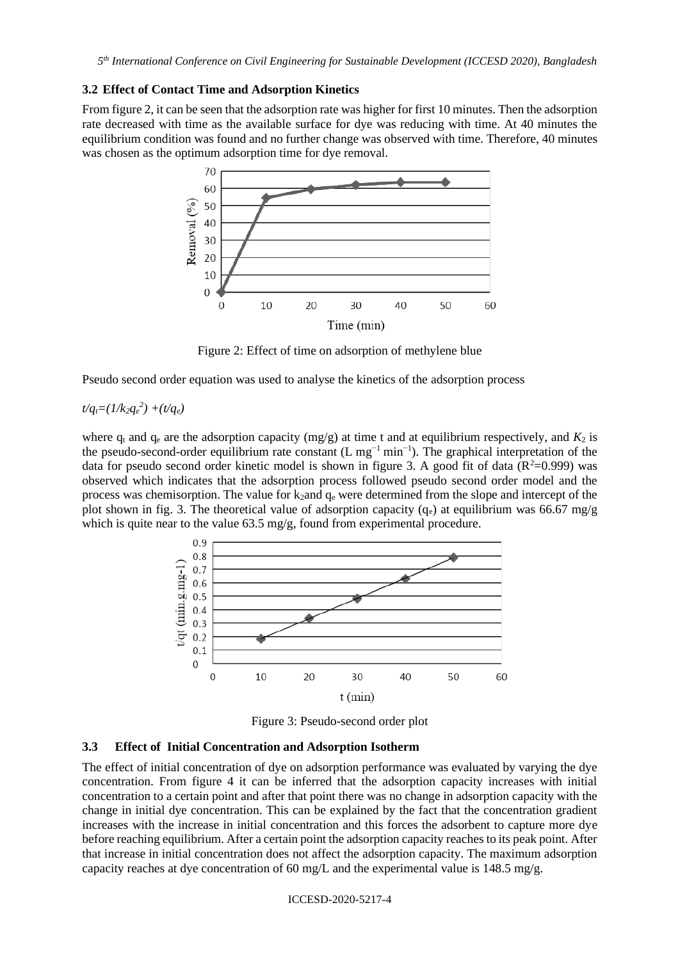#### **3.2 Effect of Contact Time and Adsorption Kinetics**

From figure 2, it can be seen that the adsorption rate was higher for first 10 minutes. Then the adsorption rate decreased with time as the available surface for dye was reducing with time. At 40 minutes the equilibrium condition was found and no further change was observed with time. Therefore, 40 minutes was chosen as the optimum adsorption time for dye removal.



Figure 2: Effect of time on adsorption of methylene blue

Pseudo second order equation was used to analyse the kinetics of the adsorption process

### $t/q_t = (1/k_2q_e^2) + (t/q_e)$

where  $q_t$  and  $q_e$  are the adsorption capacity (mg/g) at time t and at equilibrium respectively, and  $K_2$  is the pseudo-second-order equilibrium rate constant (L mg<sup>-1</sup> min<sup>-1</sup>). The graphical interpretation of the data for pseudo second order kinetic model is shown in figure 3. A good fit of data ( $\mathbb{R}^2$ =0.999) was observed which indicates that the adsorption process followed pseudo second order model and the process was chemisorption. The value for  $k_2$  and  $q_e$  were determined from the slope and intercept of the plot shown in fig. 3. The theoretical value of adsorption capacity (q<sub>e</sub>) at equilibrium was 66.67 mg/g which is quite near to the value 63.5 mg/g, found from experimental procedure.



Figure 3: Pseudo-second order plot

### **3.3 Effect of Initial Concentration and Adsorption Isotherm**

The effect of initial concentration of dye on adsorption performance was evaluated by varying the dye concentration. From figure 4 it can be inferred that the adsorption capacity increases with initial concentration to a certain point and after that point there was no change in adsorption capacity with the change in initial dye concentration. This can be explained by the fact that the concentration gradient increases with the increase in initial concentration and this forces the adsorbent to capture more dye before reaching equilibrium. After a certain point the adsorption capacity reaches to its peak point. After that increase in initial concentration does not affect the adsorption capacity. The maximum adsorption capacity reaches at dye concentration of 60 mg/L and the experimental value is 148.5 mg/g.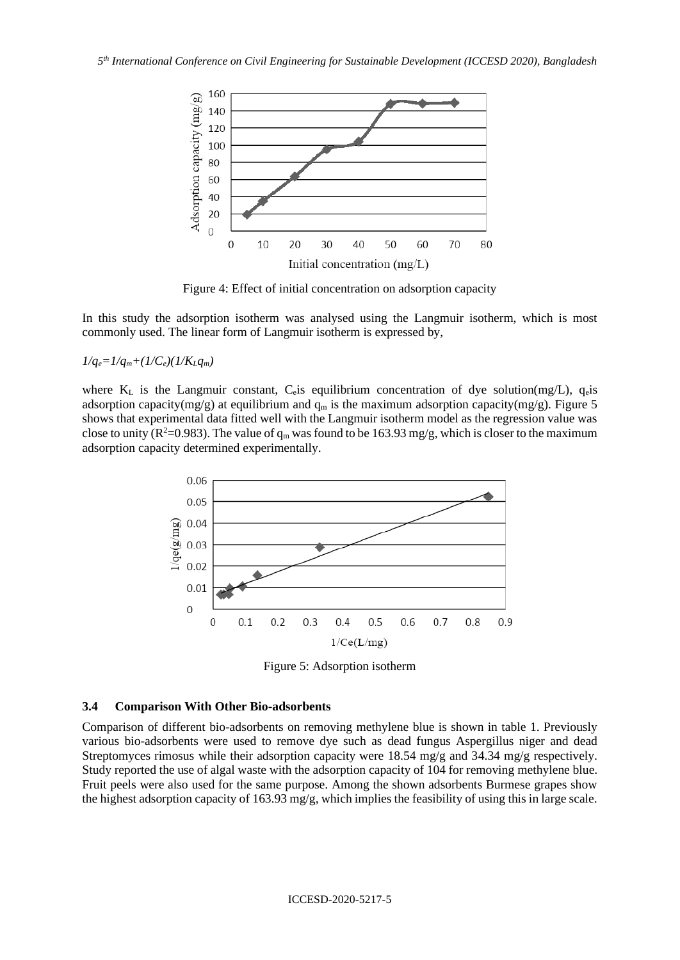

Figure 4: Effect of initial concentration on adsorption capacity

In this study the adsorption isotherm was analysed using the Langmuir isotherm, which is most commonly used. The linear form of Langmuir isotherm is expressed by,

 $1/q_e = 1/q_m + (1/C_e)(1/K_Lq_m)$ 

where  $K<sub>L</sub>$  is the Langmuir constant, C<sub>e</sub> is equilibrium concentration of dye solution(mg/L), q<sub>e</sub> is adsorption capacity(mg/g) at equilibrium and  $q_m$  is the maximum adsorption capacity(mg/g). Figure 5 shows that experimental data fitted well with the Langmuir isotherm model as the regression value was close to unity ( $\mathbb{R}^2$ =0.983). The value of  $q_m$  was found to be 163.93 mg/g, which is closer to the maximum adsorption capacity determined experimentally.



Figure 5: Adsorption isotherm

#### **3.4 Comparison With Other Bio-adsorbents**

Comparison of different bio-adsorbents on removing methylene blue is shown in table 1. Previously various bio-adsorbents were used to remove dye such as dead fungus Aspergillus niger and dead Streptomyces rimosus while their adsorption capacity were 18.54 mg/g and 34.34 mg/g respectively. Study reported the use of algal waste with the adsorption capacity of 104 for removing methylene blue. Fruit peels were also used for the same purpose. Among the shown adsorbents Burmese grapes show the highest adsorption capacity of 163.93 mg/g, which implies the feasibility of using this in large scale.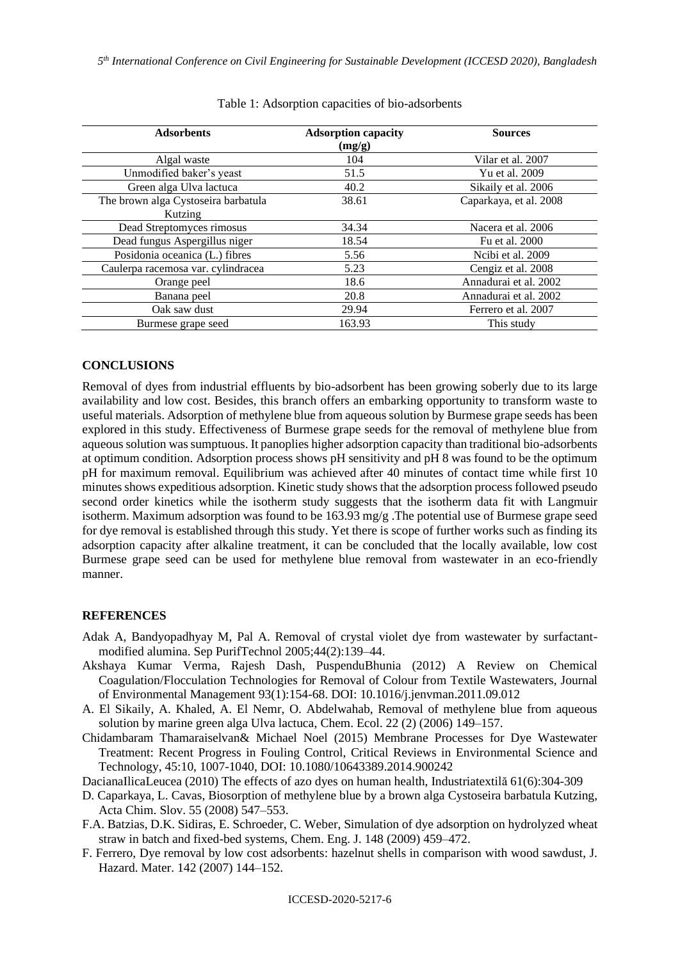| <b>Adsorbents</b>                              | <b>Adsorption capacity</b><br>(mg/g) | <b>Sources</b>         |
|------------------------------------------------|--------------------------------------|------------------------|
| Algal waste                                    | 104                                  | Vilar et al. 2007      |
| Unmodified baker's yeast                       | 51.5                                 | Yu et al. 2009         |
| Green alga Ulva lactuca                        | 40.2                                 | Sikaily et al. 2006    |
| The brown alga Cystoseira barbatula<br>Kutzing | 38.61                                | Caparkaya, et al. 2008 |
| Dead Streptomyces rimosus                      | 34.34                                | Nacera et al. 2006     |
| Dead fungus Aspergillus niger                  | 18.54                                | Fu et al. 2000         |
| Posidonia oceanica (L.) fibres                 | 5.56                                 | Noibi et al. 2009      |
| Caulerpa racemosa var. cylindracea             | 5.23                                 | Cengiz et al. 2008     |
| Orange peel                                    | 18.6                                 | Annadurai et al. 2002  |
| Banana peel                                    | 20.8                                 | Annadurai et al. 2002  |
| Oak saw dust                                   | 29.94                                | Ferrero et al. 2007    |
| Burmese grape seed                             | 163.93                               | This study             |

Table 1: Adsorption capacities of bio-adsorbents

### **CONCLUSIONS**

Removal of dyes from industrial effluents by bio-adsorbent has been growing soberly due to its large availability and low cost. Besides, this branch offers an embarking opportunity to transform waste to useful materials. Adsorption of methylene blue from aqueous solution by Burmese grape seeds has been explored in this study. Effectiveness of Burmese grape seeds for the removal of methylene blue from aqueous solution was sumptuous. It panoplies higher adsorption capacity than traditional bio-adsorbents at optimum condition. Adsorption process shows pH sensitivity and pH 8 was found to be the optimum pH for maximum removal. Equilibrium was achieved after 40 minutes of contact time while first 10 minutes shows expeditious adsorption. Kinetic study shows that the adsorption process followed pseudo second order kinetics while the isotherm study suggests that the isotherm data fit with Langmuir isotherm. Maximum adsorption was found to be 163.93 mg/g .The potential use of Burmese grape seed for dye removal is established through this study. Yet there is scope of further works such as finding its adsorption capacity after alkaline treatment, it can be concluded that the locally available, low cost Burmese grape seed can be used for methylene blue removal from wastewater in an eco-friendly manner.

### **REFERENCES**

- Adak A, Bandyopadhyay M, Pal A. Removal of crystal violet dye from wastewater by surfactantmodified alumina. Sep PurifTechnol 2005;44(2):139–44.
- [Akshaya Kumar Verma,](https://www.researchgate.net/profile/Akshaya_Verma2?_sg%5B0%5D=tGWYtDJJQm1OdfHYwKn2ZCiuCgeZ-4CsiUQiccqUZnGPIBSVTV4PyX8oG6egM4DJq0VGwXc.UiJSgMMSqTsuHvrKu4NHbexgy8JmsSmSzpE-b9rEqi0yZLjjIHMNSzfFTwJPZ0f1TTL0aOtVxHRmX4_4NqGyWw&_sg%5B1%5D=1RWTMGsvO6JvF4tQ9tFA07gtTLG-e_GjPdGdXpICvXbc9Xy3qH2NNrwPti5TTYDDSVNvH2xAiPxq8L46.Zbkr_IdYVLC0n6oYTynR2lo1PSIcQImPGrZ7UskAhbCVxS8wco8p6q2gk_DgqbJndoUaooZELUZWZqrsU97EUg) [Rajesh Dash,](https://www.researchgate.net/profile/Rajesh_Dash2?_sg%5B0%5D=tGWYtDJJQm1OdfHYwKn2ZCiuCgeZ-4CsiUQiccqUZnGPIBSVTV4PyX8oG6egM4DJq0VGwXc.UiJSgMMSqTsuHvrKu4NHbexgy8JmsSmSzpE-b9rEqi0yZLjjIHMNSzfFTwJPZ0f1TTL0aOtVxHRmX4_4NqGyWw&_sg%5B1%5D=1RWTMGsvO6JvF4tQ9tFA07gtTLG-e_GjPdGdXpICvXbc9Xy3qH2NNrwPti5TTYDDSVNvH2xAiPxq8L46.Zbkr_IdYVLC0n6oYTynR2lo1PSIcQImPGrZ7UskAhbCVxS8wco8p6q2gk_DgqbJndoUaooZELUZWZqrsU97EUg) [PuspenduBhunia](https://www.researchgate.net/profile/Puspendu_Bhunia?_sg%5B0%5D=tGWYtDJJQm1OdfHYwKn2ZCiuCgeZ-4CsiUQiccqUZnGPIBSVTV4PyX8oG6egM4DJq0VGwXc.UiJSgMMSqTsuHvrKu4NHbexgy8JmsSmSzpE-b9rEqi0yZLjjIHMNSzfFTwJPZ0f1TTL0aOtVxHRmX4_4NqGyWw&_sg%5B1%5D=1RWTMGsvO6JvF4tQ9tFA07gtTLG-e_GjPdGdXpICvXbc9Xy3qH2NNrwPti5TTYDDSVNvH2xAiPxq8L46.Zbkr_IdYVLC0n6oYTynR2lo1PSIcQImPGrZ7UskAhbCVxS8wco8p6q2gk_DgqbJndoUaooZELUZWZqrsU97EUg) (2012) A Review on Chemical Coagulation/Flocculation Technologies for Removal of Colour from Textile Wastewaters, Journal of Environmental Management 93(1):154-68. DOI: 10.1016/j.jenvman.2011.09.012
- A. El Sikaily, A. Khaled, A. El Nemr, O. Abdelwahab, Removal of methylene blue from aqueous solution by marine green alga Ulva lactuca, Chem. Ecol. 22 (2) (2006) 149–157.
- Chidambaram Thamaraiselvan& Michael Noel (2015) Membrane Processes for Dye Wastewater Treatment: Recent Progress in Fouling Control, Critical Reviews in Environmental Science and Technology, 45:10, 1007-1040, DOI: [10.1080/10643389.2014.900242](https://doi.org/10.1080/10643389.2014.900242)
- [DacianaIlicaLeucea](https://www.researchgate.net/scientific-contributions/2090854484_Daciana_Ilica_Leucea?_sg%5B0%5D=b0NvfZ3QOoTQLMzmbBq4LuQp3xQ3Q2uadELRUMtp4We-Prq7EgGq_Np9-UBK0hr_uYqUdcE.kvBjo0ZGlNokLiOF974He9r3kePxEYmX_m1NLTaAJl8ph95MLNnH7E8_R1l39ygS81NJ-Epokvy_c-mNJGsQ2Q&_sg%5B1%5D=kHyRILNfFpOPGmwnRr6D8k0NiwF0dyC-Ew7q5G-uuU_cKDRN6D2Ox2FTevzaUEoaLnPqJSnJIwmF97be.RLKUaCwrzHaEANk0KMTz6oov4ii-tx01SPHZx4rV4U9bBnzdmy5M53gDdaD0TnCFa3U9tjgetj0iHCK-WTDwEQ) (2010) The effects of azo dyes on human health, Industriatextilă 61(6):304-309
- D. Caparkaya, L. Cavas, Biosorption of methylene blue by a brown alga Cystoseira barbatula Kutzing, Acta Chim. Slov. 55 (2008) 547–553.
- F.A. Batzias, D.K. Sidiras, E. Schroeder, C. Weber, Simulation of dye adsorption on hydrolyzed wheat straw in batch and fixed-bed systems, Chem. Eng. J. 148 (2009) 459–472.
- F. Ferrero, Dye removal by low cost adsorbents: hazelnut shells in comparison with wood sawdust, J. Hazard. Mater. 142 (2007) 144–152.